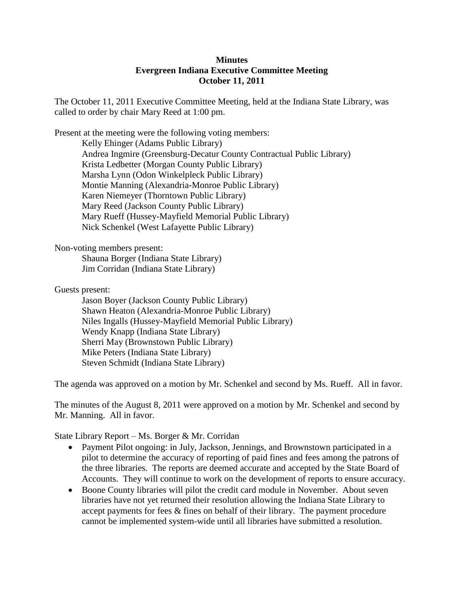## **Minutes Evergreen Indiana Executive Committee Meeting October 11, 2011**

The October 11, 2011 Executive Committee Meeting, held at the Indiana State Library, was called to order by chair Mary Reed at 1:00 pm.

Present at the meeting were the following voting members: Kelly Ehinger (Adams Public Library) Andrea Ingmire (Greensburg-Decatur County Contractual Public Library) Krista Ledbetter (Morgan County Public Library) Marsha Lynn (Odon Winkelpleck Public Library) Montie Manning (Alexandria-Monroe Public Library) Karen Niemeyer (Thorntown Public Library) Mary Reed (Jackson County Public Library) Mary Rueff (Hussey-Mayfield Memorial Public Library) Nick Schenkel (West Lafayette Public Library)

Non-voting members present:

Shauna Borger (Indiana State Library) Jim Corridan (Indiana State Library)

Guests present:

Jason Boyer (Jackson County Public Library) Shawn Heaton (Alexandria-Monroe Public Library) Niles Ingalls (Hussey-Mayfield Memorial Public Library) Wendy Knapp (Indiana State Library) Sherri May (Brownstown Public Library) Mike Peters (Indiana State Library) Steven Schmidt (Indiana State Library)

The agenda was approved on a motion by Mr. Schenkel and second by Ms. Rueff. All in favor.

The minutes of the August 8, 2011 were approved on a motion by Mr. Schenkel and second by Mr. Manning. All in favor.

State Library Report – Ms. Borger & Mr. Corridan

- Payment Pilot ongoing: in July, Jackson, Jennings, and Brownstown participated in a pilot to determine the accuracy of reporting of paid fines and fees among the patrons of the three libraries. The reports are deemed accurate and accepted by the State Board of Accounts. They will continue to work on the development of reports to ensure accuracy.
- Boone County libraries will pilot the credit card module in November. About seven libraries have not yet returned their resolution allowing the Indiana State Library to accept payments for fees & fines on behalf of their library. The payment procedure cannot be implemented system-wide until all libraries have submitted a resolution.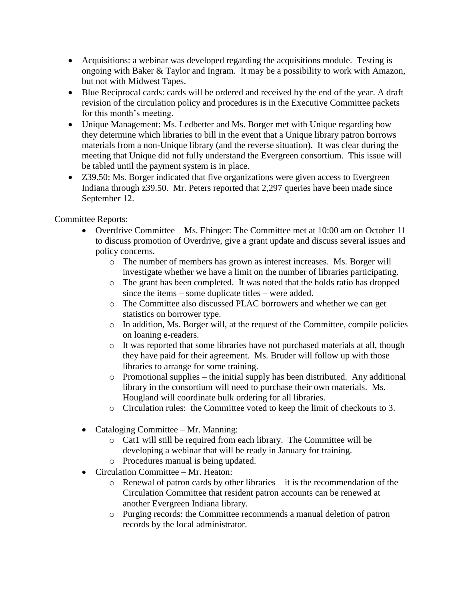- Acquisitions: a webinar was developed regarding the acquisitions module. Testing is ongoing with Baker & Taylor and Ingram. It may be a possibility to work with Amazon, but not with Midwest Tapes.
- Blue Reciprocal cards: cards will be ordered and received by the end of the year. A draft revision of the circulation policy and procedures is in the Executive Committee packets for this month's meeting.
- Unique Management: Ms. Ledbetter and Ms. Borger met with Unique regarding how they determine which libraries to bill in the event that a Unique library patron borrows materials from a non-Unique library (and the reverse situation). It was clear during the meeting that Unique did not fully understand the Evergreen consortium. This issue will be tabled until the payment system is in place.
- Z39.50: Ms. Borger indicated that five organizations were given access to Evergreen Indiana through z39.50. Mr. Peters reported that 2,297 queries have been made since September 12.

Committee Reports:

- Overdrive Committee Ms. Ehinger: The Committee met at 10:00 am on October 11 to discuss promotion of Overdrive, give a grant update and discuss several issues and policy concerns.
	- o The number of members has grown as interest increases. Ms. Borger will investigate whether we have a limit on the number of libraries participating.
	- o The grant has been completed. It was noted that the holds ratio has dropped since the items – some duplicate titles – were added.
	- o The Committee also discussed PLAC borrowers and whether we can get statistics on borrower type.
	- o In addition, Ms. Borger will, at the request of the Committee, compile policies on loaning e-readers.
	- o It was reported that some libraries have not purchased materials at all, though they have paid for their agreement. Ms. Bruder will follow up with those libraries to arrange for some training.
	- $\circ$  Promotional supplies the initial supply has been distributed. Any additional library in the consortium will need to purchase their own materials. Ms. Hougland will coordinate bulk ordering for all libraries.
	- o Circulation rules: the Committee voted to keep the limit of checkouts to 3.
- Cataloging Committee Mr. Manning:
	- o Cat1 will still be required from each library. The Committee will be developing a webinar that will be ready in January for training.
	- o Procedures manual is being updated.
- Circulation Committee Mr. Heaton:
	- o Renewal of patron cards by other libraries it is the recommendation of the Circulation Committee that resident patron accounts can be renewed at another Evergreen Indiana library.
	- o Purging records: the Committee recommends a manual deletion of patron records by the local administrator.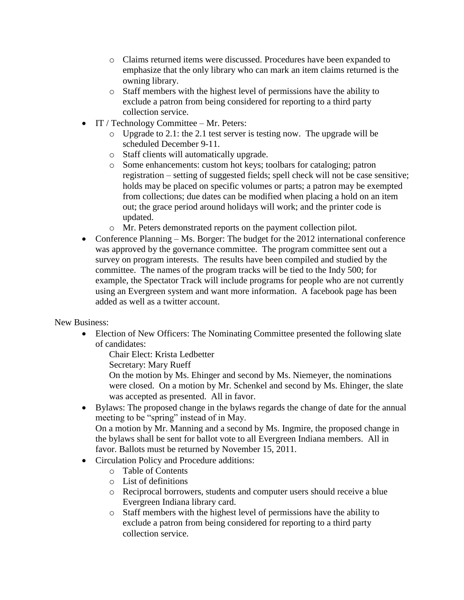- o Claims returned items were discussed. Procedures have been expanded to emphasize that the only library who can mark an item claims returned is the owning library.
- o Staff members with the highest level of permissions have the ability to exclude a patron from being considered for reporting to a third party collection service.
- $\bullet$  IT / Technology Committee Mr. Peters:
	- o Upgrade to 2.1: the 2.1 test server is testing now. The upgrade will be scheduled December 9-11.
	- o Staff clients will automatically upgrade.
	- o Some enhancements: custom hot keys; toolbars for cataloging; patron registration – setting of suggested fields; spell check will not be case sensitive; holds may be placed on specific volumes or parts; a patron may be exempted from collections; due dates can be modified when placing a hold on an item out; the grace period around holidays will work; and the printer code is updated.
	- o Mr. Peters demonstrated reports on the payment collection pilot.
- Conference Planning Ms. Borger: The budget for the 2012 international conference was approved by the governance committee. The program committee sent out a survey on program interests. The results have been compiled and studied by the committee. The names of the program tracks will be tied to the Indy 500; for example, the Spectator Track will include programs for people who are not currently using an Evergreen system and want more information. A facebook page has been added as well as a twitter account.

New Business:

 Election of New Officers: The Nominating Committee presented the following slate of candidates:

Chair Elect: Krista Ledbetter

Secretary: Mary Rueff

On the motion by Ms. Ehinger and second by Ms. Niemeyer, the nominations were closed. On a motion by Mr. Schenkel and second by Ms. Ehinger, the slate was accepted as presented. All in favor.

 Bylaws: The proposed change in the bylaws regards the change of date for the annual meeting to be "spring" instead of in May.

On a motion by Mr. Manning and a second by Ms. Ingmire, the proposed change in the bylaws shall be sent for ballot vote to all Evergreen Indiana members. All in favor. Ballots must be returned by November 15, 2011.

- Circulation Policy and Procedure additions:
	- o Table of Contents
	- o List of definitions
	- o Reciprocal borrowers, students and computer users should receive a blue Evergreen Indiana library card.
	- o Staff members with the highest level of permissions have the ability to exclude a patron from being considered for reporting to a third party collection service.